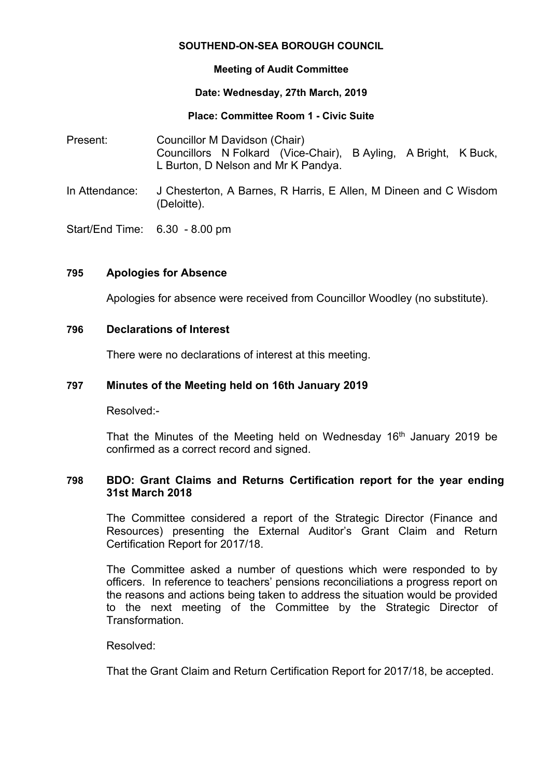### **SOUTHEND-ON-SEA BOROUGH COUNCIL**

## **Meeting of Audit Committee**

### **Date: Wednesday, 27th March, 2019**

## **Place: Committee Room 1 - Civic Suite**

- Present: Councillor M Davidson (Chair) Councillors N Folkard (Vice-Chair), B Ayling, A Bright, K Buck, L Burton, D Nelson and Mr K Pandya.
- In Attendance: J Chesterton, A Barnes, R Harris, E Allen, M Dineen and C Wisdom (Deloitte).
- Start/End Time: 6.30 8.00 pm

# **795 Apologies for Absence**

Apologies for absence were received from Councillor Woodley (no substitute).

### **796 Declarations of Interest**

There were no declarations of interest at this meeting.

## **797 Minutes of the Meeting held on 16th January 2019**

Resolved:-

That the Minutes of the Meeting held on Wednesday 16<sup>th</sup> January 2019 be confirmed as a correct record and signed.

## **798 BDO: Grant Claims and Returns Certification report for the year ending 31st March 2018**

The Committee considered a report of the Strategic Director (Finance and Resources) presenting the External Auditor's Grant Claim and Return Certification Report for 2017/18.

The Committee asked a number of questions which were responded to by officers. In reference to teachers' pensions reconciliations a progress report on the reasons and actions being taken to address the situation would be provided to the next meeting of the Committee by the Strategic Director of Transformation.

### Resolved:

That the Grant Claim and Return Certification Report for 2017/18, be accepted.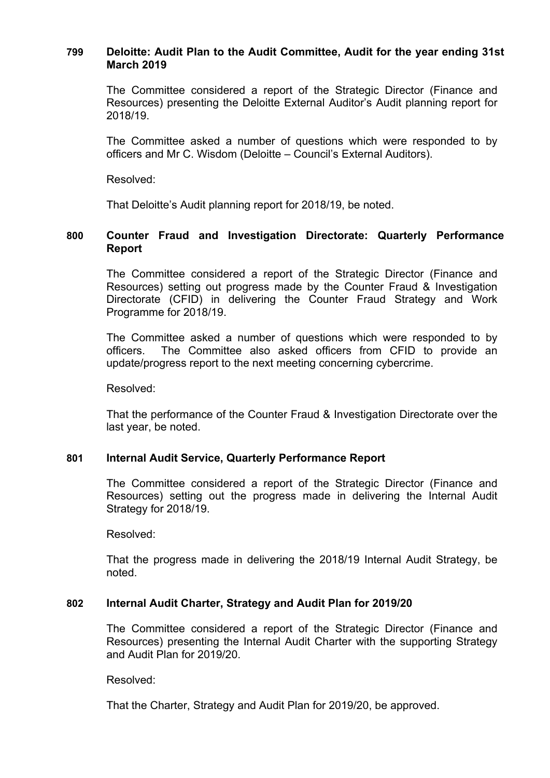# **799 Deloitte: Audit Plan to the Audit Committee, Audit for the year ending 31st March 2019**

The Committee considered a report of the Strategic Director (Finance and Resources) presenting the Deloitte External Auditor's Audit planning report for 2018/19.

The Committee asked a number of questions which were responded to by officers and Mr C. Wisdom (Deloitte – Council's External Auditors).

Resolved:

That Deloitte's Audit planning report for 2018/19, be noted.

## **800 Counter Fraud and Investigation Directorate: Quarterly Performance Report**

The Committee considered a report of the Strategic Director (Finance and Resources) setting out progress made by the Counter Fraud & Investigation Directorate (CFID) in delivering the Counter Fraud Strategy and Work Programme for 2018/19.

The Committee asked a number of questions which were responded to by officers. The Committee also asked officers from CFID to provide an update/progress report to the next meeting concerning cybercrime.

Resolved:

That the performance of the Counter Fraud & Investigation Directorate over the last year, be noted.

### **801 Internal Audit Service, Quarterly Performance Report**

The Committee considered a report of the Strategic Director (Finance and Resources) setting out the progress made in delivering the Internal Audit Strategy for 2018/19.

Resolved:

That the progress made in delivering the 2018/19 Internal Audit Strategy, be noted.

# **802 Internal Audit Charter, Strategy and Audit Plan for 2019/20**

The Committee considered a report of the Strategic Director (Finance and Resources) presenting the Internal Audit Charter with the supporting Strategy and Audit Plan for 2019/20.

Resolved:

That the Charter, Strategy and Audit Plan for 2019/20, be approved.